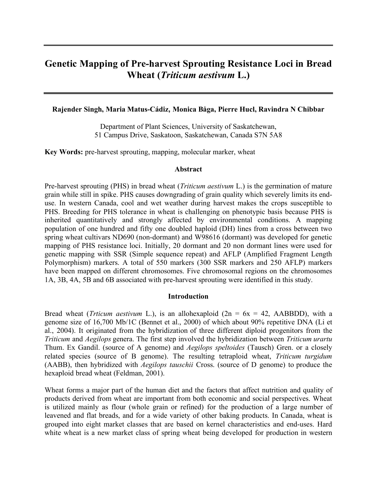# **Genetic Mapping of Pre-harvest Sprouting Resistance Loci in Bread Wheat (***Triticum aestivum* **L.)**

## **Rajender Singh, Maria Matus-Cádiz, Monica Båga, Pierre Hucl, Ravindra N Chibbar**

Department of Plant Sciences, University of Saskatchewan, 51 Campus Drive, Saskatoon, Saskatchewan, Canada S7N 5A8

**Key Words:** pre-harvest sprouting, mapping, molecular marker, wheat

#### **Abstract**

Pre-harvest sprouting (PHS) in bread wheat (*Triticum aestivum* L.) is the germination of mature grain while still in spike. PHS causes downgrading of grain quality which severely limits its enduse. In western Canada, cool and wet weather during harvest makes the crops susceptible to PHS. Breeding for PHS tolerance in wheat is challenging on phenotypic basis because PHS is inherited quantitatively and strongly affected by environmental conditions. A mapping population of one hundred and fifty one doubled haploid (DH) lines from a cross between two spring wheat cultivars ND690 (non-dormant) and W98616 (dormant) was developed for genetic mapping of PHS resistance loci. Initially, 20 dormant and 20 non dormant lines were used for genetic mapping with SSR (Simple sequence repeat) and AFLP (Amplified Fragment Length Polymorphism) markers. A total of 550 markers (300 SSR markers and 250 AFLP) markers have been mapped on different chromosomes. Five chromosomal regions on the chromosomes 1A, 3B, 4A, 5B and 6B associated with pre-harvest sprouting were identified in this study.

#### **Introduction**

Bread wheat (*Trticum aestivum* L.), is an allohexaploid ( $2n = 6x = 42$ , AABBDD), with a genome size of 16,700 Mb/1C (Bennet et al., 2000) of which about 90% repetitive DNA (Li et al., 2004). It originated from the hybridization of three different diploid progenitors from the *Triticum* and *Aegilops* genera. The first step involved the hybridization between *Triticum urartu* Thum. Ex Gandil. (source of A genome) and *Aegilops speltoides* (Tausch) Gren. or a closely related species (source of B genome). The resulting tetraploid wheat, *Triticum turgidum* (AABB), then hybridized with *Aegilops tauschii* Cross. (source of D genome) to produce the hexaploid bread wheat (Feldman, 2001).

Wheat forms a major part of the human diet and the factors that affect nutrition and quality of products derived from wheat are important from both economic and social perspectives. Wheat is utilized mainly as flour (whole grain or refined) for the production of a large number of leavened and flat breads, and for a wide variety of other baking products. In Canada, wheat is grouped into eight market classes that are based on kernel characteristics and end-uses. Hard white wheat is a new market class of spring wheat being developed for production in western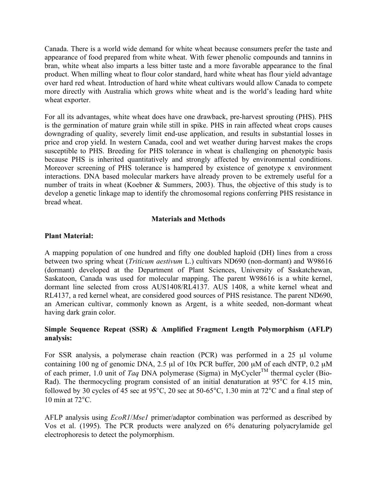Canada. There is a world wide demand for white wheat because consumers prefer the taste and appearance of food prepared from white wheat. With fewer phenolic compounds and tannins in bran, white wheat also imparts a less bitter taste and a more favorable appearance to the final product. When milling wheat to flour color standard, hard white wheat has flour yield advantage over hard red wheat. Introduction of hard white wheat cultivars would allow Canada to compete more directly with Australia which grows white wheat and is the world's leading hard white wheat exporter.

For all its advantages, white wheat does have one drawback, pre-harvest sprouting (PHS). PHS is the germination of mature grain while still in spike. PHS in rain affected wheat crops causes downgrading of quality, severely limit end-use application, and results in substantial losses in price and crop yield. In western Canada, cool and wet weather during harvest makes the crops susceptible to PHS. Breeding for PHS tolerance in wheat is challenging on phenotypic basis because PHS is inherited quantitatively and strongly affected by environmental conditions. Moreover screening of PHS tolerance is hampered by existence of genotype x environment interactions. DNA based molecular markers have already proven to be extremely useful for a number of traits in wheat (Koebner & Summers, 2003). Thus, the objective of this study is to develop a genetic linkage map to identify the chromosomal regions conferring PHS resistance in bread wheat.

## **Materials and Methods**

# **Plant Material:**

A mapping population of one hundred and fifty one doubled haploid (DH) lines from a cross between two spring wheat (*Triticum aestivum* L.) cultivars ND690 (non-dormant) and W98616 (dormant) developed at the Department of Plant Sciences, University of Saskatchewan, Saskatoon, Canada was used for molecular mapping. The parent W98616 is a white kernel, dormant line selected from cross AUS1408/RL4137. AUS 1408, a white kernel wheat and RL4137, a red kernel wheat, are considered good sources of PHS resistance. The parent ND690, an American cultivar, commonly known as Argent, is a white seeded, non-dormant wheat having dark grain color.

# **Simple Sequence Repeat (SSR) & Amplified Fragment Length Polymorphism (AFLP) analysis:**

For SSR analysis, a polymerase chain reaction (PCR) was performed in a 25 µl volume containing 100 ng of genomic DNA, 2.5  $\mu$ l of 10x PCR buffer, 200  $\mu$ M of each dNTP, 0.2  $\mu$ M of each primer, 1.0 unit of *Taq* DNA polymerase (Sigma) in MyCycler TM thermal cycler (Bio-Rad). The thermocycling program consisted of an initial denaturation at 95°C for 4.15 min, followed by 30 cycles of 45 sec at 95°C, 20 sec at 50-65°C, 1.30 min at 72°C and a final step of 10 min at 72°C.

AFLP analysis using *EcoR1*/*Mse1* primer/adaptor combination was performed as described by Vos et al. (1995). The PCR products were analyzed on 6% denaturing polyacrylamide gel electrophoresis to detect the polymorphism.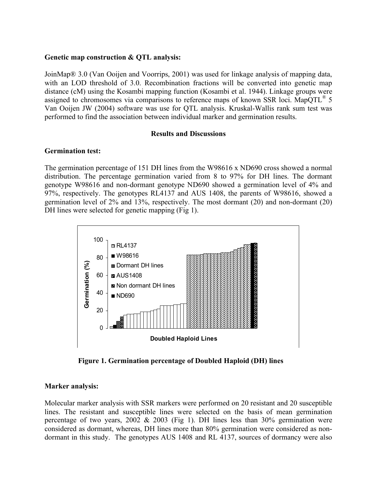## **Genetic map construction & QTL analysis:**

JoinMap® 3.0 (Van Ooijen and Voorrips, 2001) was used for linkage analysis of mapping data, with an LOD threshold of 3.0. Recombination fractions will be converted into genetic map distance (cM) using the Kosambi mapping function (Kosambi et al. 1944). Linkage groups were assigned to chromosomes via comparisons to reference maps of known SSR loci. MapQTL<sup>®</sup> 5 Van Ooijen JW (2004) software was use for QTL analysis. Kruskal-Wallis rank sum test was performed to find the association between individual marker and germination results.

#### **Results and Discussions**

## **Germination test:**

The germination percentage of 151 DH lines from the W98616 x ND690 cross showed a normal distribution. The percentage germination varied from 8 to 97% for DH lines. The dormant genotype W98616 and non-dormant genotype ND690 showed a germination level of 4% and 97%, respectively. The genotypes RL4137 and AUS 1408, the parents of W98616, showed a germination level of 2% and 13%, respectively. The most dormant (20) and non-dormant (20) DH lines were selected for genetic mapping (Fig 1).



**Figure 1. Germination percentage of Doubled Haploid (DH) lines**

## **Marker analysis:**

Molecular marker analysis with SSR markers were performed on 20 resistant and 20 susceptible lines. The resistant and susceptible lines were selected on the basis of mean germination percentage of two years,  $2002 \& 2003$  (Fig 1). DH lines less than  $30\%$  germination were considered as dormant, whereas, DH lines more than 80% germination were considered as nondormant in this study. The genotypes AUS 1408 and RL 4137, sources of dormancy were also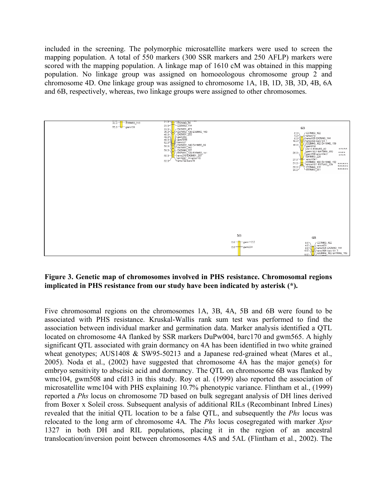included in the screening. The polymorphic microsatellite markers were used to screen the mapping population. A total of 550 markers (300 SSR markers and 250 AFLP) markers were scored with the mapping population. A linkage map of 1610 cM was obtained in this mapping population. No linkage group was assigned on homoeologous chromosome group 2 and chromosome 4D. One linkage group was assigned to chromosome 1A, 1B, 1D, 3B, 3D, 4B, 6A and 6B, respectively, whereas, two linkage groups were assigned to other chromosomes.



# **Figure 3. Genetic map of chromosomes involved in PHS resistance. Chromosomal regions implicated in PHS resistance from our study have been indicated by asterisk (\*).**

Five chromosomal regions on the chromosomes 1A, 3B, 4A, 5B and 6B were found to be associated with PHS resistance. Kruskal-Wallis rank sum test was performed to find the association between individual marker and germination data. Marker analysis identified a QTL located on chromosome 4A flanked by SSR markers DuPw004, barc170 and gwm565. A highly significant QTL associated with grain dormancy on 4A has been identified in two white grained wheat genotypes; AUS1408 & SW95-50213 and a Japanese red-grained wheat (Mares et al., 2005). Noda et al., (2002) have suggested that chromosome 4A has the major gene(s) for embryo sensitivity to abscisic acid and dormancy. The QTL on chromosome 6B was flanked by wmc104, gwm508 and cfd13 in this study. Roy et al. (1999) also reported the association of microsatellite wmc104 with PHS explaining 10.7% phenotypic variance. Flintham et al., (1999) reported a *Phs* locus on chromosome 7D based on bulk segregant analysis of DH lines derived from Boxer x Soleil cross. Subsequent analysis of additional RILs (Recombinant Inbred Lines) revealed that the initial QTL location to be a false QTL, and subsequently the *Phs* locus was relocated to the long arm of chromosome 4A. The *Phs* locus cosegregated with marker *Xpsr* 1327 in both DH and RIL populations, placing it in the region of an ancestral translocation/inversion point between chromosomes 4AS and 5AL (Flintham et al., 2002). The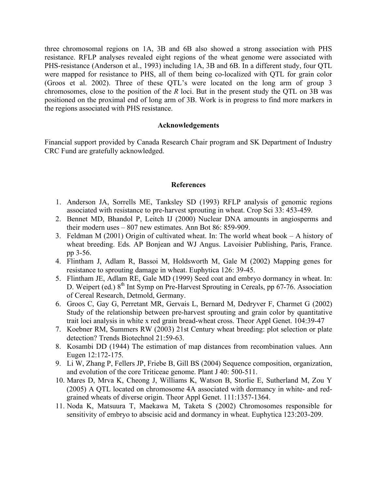three chromosomal regions on 1A, 3B and 6B also showed a strong association with PHS resistance. RFLP analyses revealed eight regions of the wheat genome were associated with PHS-resistance (Anderson et al., 1993) including 1A, 3B and 6B. In a different study, four QTL were mapped for resistance to PHS, all of them being co-localized with QTL for grain color (Groos et al. 2002). Three of these QTL's were located on the long arm of group 3 chromosomes, close to the position of the *R* loci. But in the present study the QTL on 3B was positioned on the proximal end of long arm of 3B. Work is in progress to find more markers in the regions associated with PHS resistance.

#### **Acknowledgements**

Financial support provided by Canada Research Chair program and SK Department of Industry CRC Fund are gratefully acknowledged.

#### **References**

- 1. Anderson JA, Sorrells ME, Tanksley SD (1993) RFLP analysis of genomic regions associated with resistance to pre-harvest sprouting in wheat. Crop Sci 33: 453-459.
- 2. Bennet MD, Bhandol P, Leitch IJ (2000) Nuclear DNA amounts in angiosperms and their modern uses – 807 new estimates. Ann Bot 86: 859-909.
- 3. Feldman M (2001) Origin of cultivated wheat. In: The world wheat book A history of wheat breeding. Eds. AP Bonjean and WJ Angus. Lavoisier Publishing, Paris, France. pp 3-56.
- 4. Flintham J, Adlam R, Bassoi M, Holdsworth M, Gale M (2002) Mapping genes for resistance to sprouting damage in wheat. Euphytica 126: 39-45.
- 5. Flintham JE, Adlam RE, Gale MD (1999) Seed coat and embryo dormancy in wheat. In: D. Weipert (ed.)  $8<sup>th</sup>$  Int Symp on Pre-Harvest Sprouting in Cereals, pp 67-76. Association of Cereal Research, Detmold, Germany.
- 6. Groos C, Gay G, Perretant MR, Gervais L, Bernard M, Dedryver F, Charmet G (2002) Study of the relationship between pre-harvest sprouting and grain color by quantitative trait loci analysis in white x red grain bread-wheat cross. Theor Appl Genet. 104:39-47
- 7. Koebner RM, Summers RW (2003) 21st Century wheat breeding: plot selection or plate detection? Trends Biotechnol 21:59-63.
- 8. Kosambi DD (1944) The estimation of map distances from recombination values. Ann Eugen 12:172-175.
- 9. Li W, Zhang P, Fellers JP, Friebe B, Gill BS (2004) Sequence composition, organization, and evolution of the core Triticeae genome. Plant J 40: 500-511.
- 10. Mares D, Mrva K, Cheong J, Williams K, Watson B, Storlie E, Sutherland M, Zou Y (2005) A QTL located on chromosome 4A associated with dormancy in white- and redgrained wheats of diverse origin. Theor Appl Genet. 111:1357-1364.
- 11. Noda K, Matsuura T, Maekawa M, Taketa S (2002) Chromosomes responsible for sensitivity of embryo to abscisic acid and dormancy in wheat. Euphytica 123:203-209.